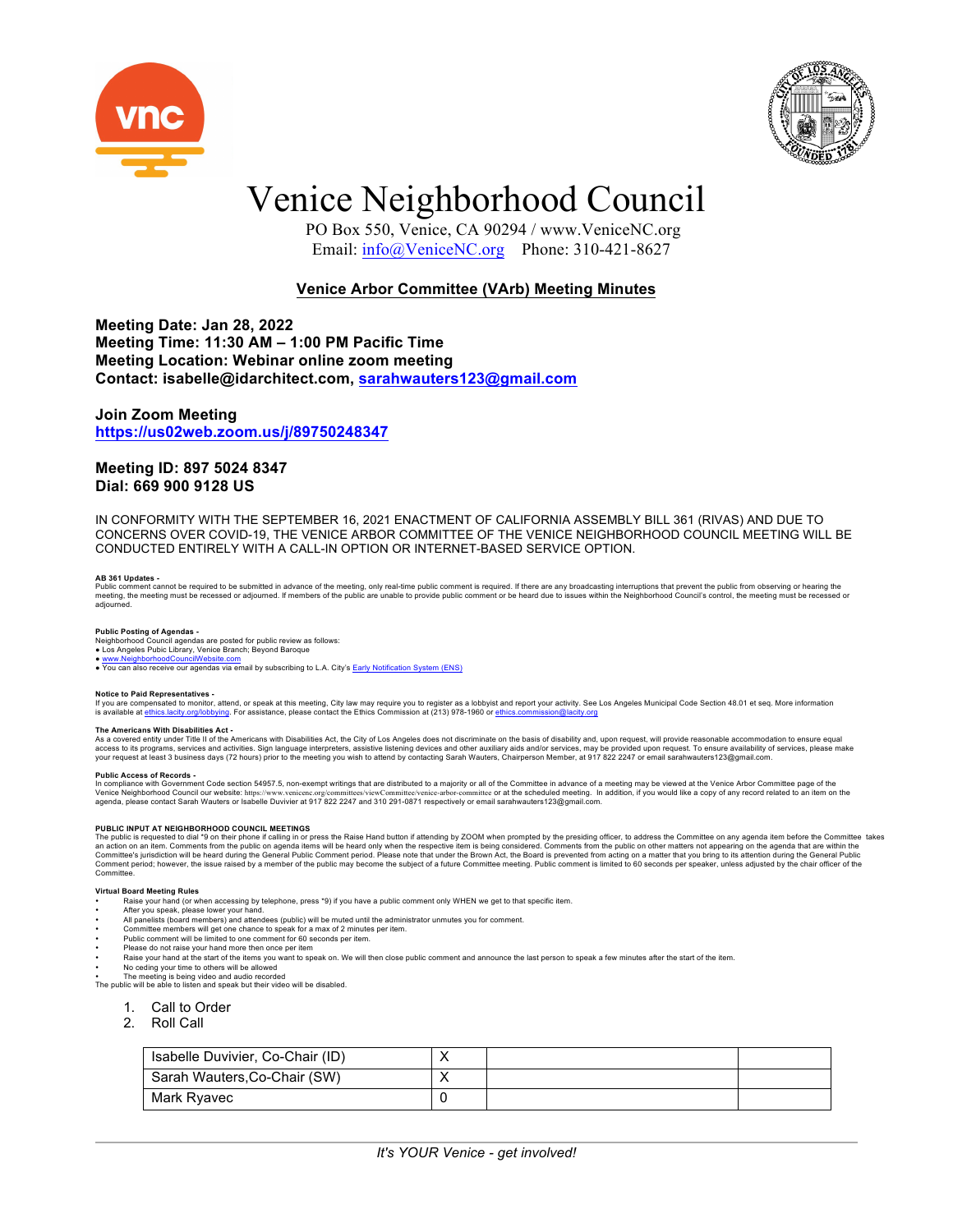



## Venice Neighborhood Council

 PO Box 550, Venice, CA 90294 / www.VeniceNC.org Email: info@VeniceNC.org Phone: 310-421-8627

## **Venice Arbor Committee (VArb) Meeting Minutes**

**Meeting Date: Jan 28, 2022 Meeting Time: 11:30 AM – 1:00 PM Pacific Time Meeting Location: Webinar online zoom meeting Contact: isabelle@idarchitect.com, sarahwauters123@gmail.com**

### **Join Zoom Meeting https://us02web.zoom.us/j/89750248347**

## **Meeting ID: 897 5024 8347 Dial: 669 900 9128 US**

IN CONFORMITY WITH THE SEPTEMBER 16, 2021 ENACTMENT OF CALIFORNIA ASSEMBLY BILL 361 (RIVAS) AND DUE TO CONCERNS OVER COVID-19, THE VENICE ARBOR COMMITTEE OF THE VENICE NEIGHBORHOOD COUNCIL MEETING WILL BE CONDUCTED ENTIRELY WITH A CALL-IN OPTION OR INTERNET-BASED SERVICE OPTION.

## **AB 361 Updates -**

Public comment cannot be required to be submitted in advance of the meeting, only real-time public comment is required. If there are any broadcasting interruptions that prevent the public form observing or heard on the pub adjourned.

**Public Posting of Agendas -**<br>Neighborhood Council agendas are posted for public review as follows:<br>● Los Angeles Pubic Library, Venice Branch; Beyond Baroque

www.NeighborhoodCouncilWebsite.com

• You can also receive our agendas via email by subscribing to L.A. City's **Early Notification System (ENS)** 

Notice to Paid Representatives -<br>If you are compensated to monitor, attend, or speak at this meeting, City law may require you to register as a lobbyist and report your activity. See Los Angeles Municipal Code Section 48.0 is available at ethics.lacity.org/lobbying. For assistance, please contact the Ethics Commission at (213) 978-1960 or ethics.commission@lacity.org

### **The Americans With Disabilities Act -**

The Americans with Distribution Act of the Americans with Disabilities Act, the City of Los Angeles does not discriminate on the basis of disability and, upon request, will provide reasonable accommodation to ensure equal access to its programs, services and activities. Sign language interpreters, assistive listening devices and other auxiliary aids and/or services, may be provided upon request. To ensure availability of services, please ma

Public Access of Records -<br>In compliance with Government Code section 54957.5, non-exempt writings that are distributed to a majority or all of the Committee in advance of a meeting may be viewed at the Venice Arbor Commit

PUBLIC INPUT AT NEIGHBORHOOD COUNCIL MEETINGS<br>The public is requested to dial \*9 on their phone if calling in or press the Raise Hand button if attending by ZOOM when prompted by the presiding officer, to address the Commi Comment period; however, the issue raised by a member of the public may become the subject of a future Committee meeting. Public comment is limited to 60 seconds per speaker, unless adjusted by the chair officer of the Committee

### **Virtual Board Meeting Rules**

- Raise your hand (or when accessing by telephone, press \*9) if you have a public comment only WHEN we get to that specific item
- 
- After you speak, please lower your hand.<br>• All panelists (board members) and attendees (public) will be muted until the administrator unmutes you for comment.<br>• Committee members will get one chance to speak for a max of
- Public comment will be limited to one comment for 60 seconds per item.
- 
- Please do not raise your hand more then once per item<br>• Raise your hand at the start of the items you want to speak on. We will then close public comment and announce the last person to speak a few minutes after the star
- No ceding your time to others will be allowed

• The meeting is being video and audio recorded The public will be able to listen and speak but their video will be disabled.

- 1. Call to Order
- 2. Roll Call
- 

| Isabelle Duvivier, Co-Chair (ID) | ⌒ |  |
|----------------------------------|---|--|
| Sarah Wauters, Co-Chair (SW)     |   |  |
| Mark Ryavec                      |   |  |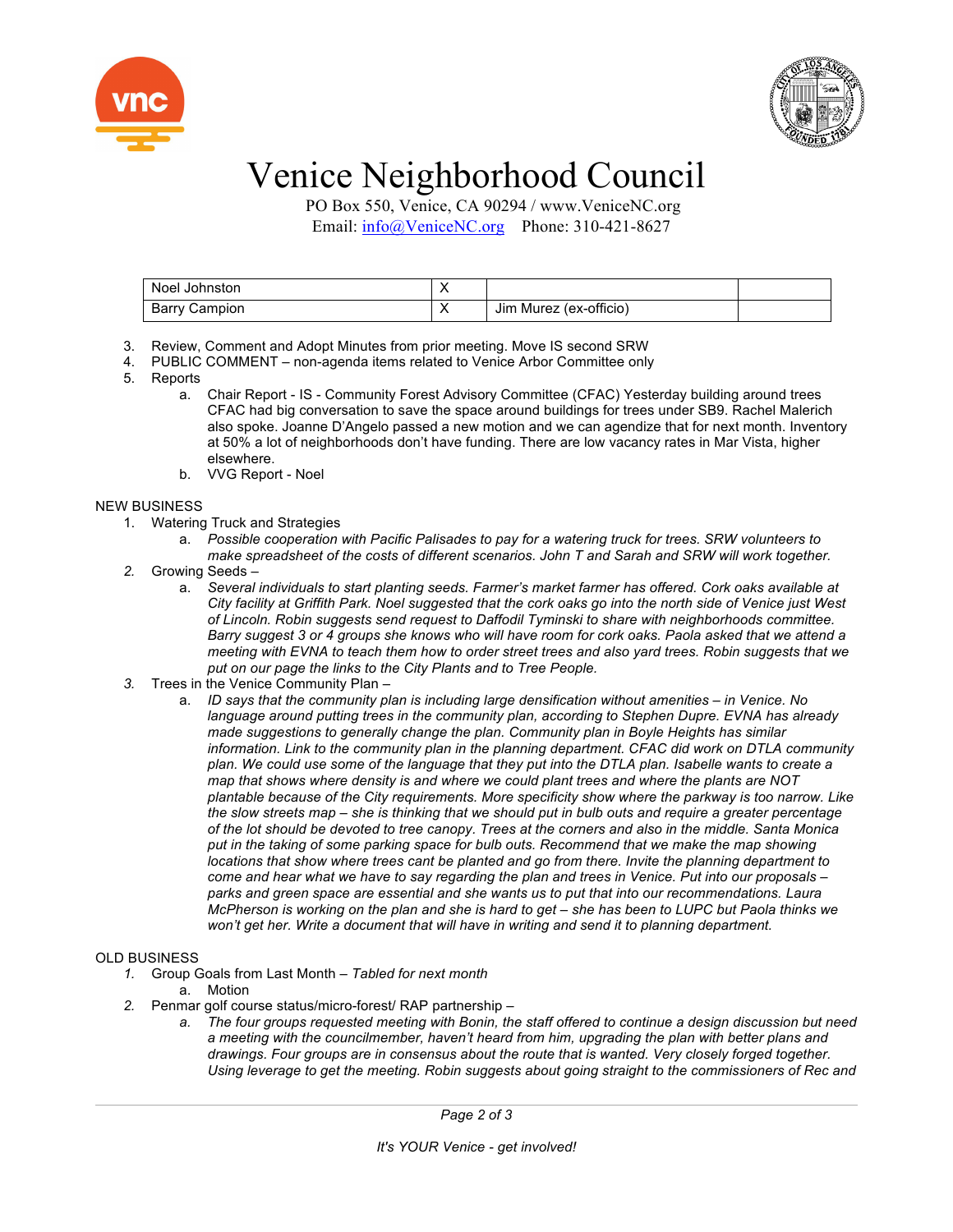



# Venice Neighborhood Council

 PO Box 550, Venice, CA 90294 / www.VeniceNC.org Email: info@VeniceNC.org Phone: 310-421-8627

| Noel Johnston        |                        |  |
|----------------------|------------------------|--|
| <b>Barry Campion</b> | Jim Murez (ex-officio) |  |

- 3. Review, Comment and Adopt Minutes from prior meeting. Move IS second SRW
- 4. PUBLIC COMMENT non-agenda items related to Venice Arbor Committee only
- 5. Reports
	- a. Chair Report IS Community Forest Advisory Committee (CFAC) Yesterday building around trees CFAC had big conversation to save the space around buildings for trees under SB9. Rachel Malerich also spoke. Joanne D'Angelo passed a new motion and we can agendize that for next month. Inventory at 50% a lot of neighborhoods don't have funding. There are low vacancy rates in Mar Vista, higher elsewhere.
	- b. VVG Report Noel

## NEW BUSINESS

- 1. Watering Truck and Strategies
	- a. *Possible cooperation with Pacific Palisades to pay for a watering truck for trees. SRW volunteers to make spreadsheet of the costs of different scenarios. John T and Sarah and SRW will work together.*
- *2.* Growing Seeds
	- a. *Several individuals to start planting seeds. Farmer's market farmer has offered. Cork oaks available at City facility at Griffith Park. Noel suggested that the cork oaks go into the north side of Venice just West of Lincoln. Robin suggests send request to Daffodil Tyminski to share with neighborhoods committee. Barry suggest 3 or 4 groups she knows who will have room for cork oaks. Paola asked that we attend a meeting with EVNA to teach them how to order street trees and also yard trees. Robin suggests that we put on our page the links to the City Plants and to Tree People.*
- *3.* Trees in the Venice Community Plan
	- a. *ID says that the community plan is including large densification without amenities – in Venice. No*  language around putting trees in the community plan, according to Stephen Dupre. EVNA has already *made suggestions to generally change the plan. Community plan in Boyle Heights has similar information. Link to the community plan in the planning department. CFAC did work on DTLA community plan. We could use some of the language that they put into the DTLA plan. Isabelle wants to create a map that shows where density is and where we could plant trees and where the plants are NOT plantable because of the City requirements. More specificity show where the parkway is too narrow. Like the slow streets map – she is thinking that we should put in bulb outs and require a greater percentage of the lot should be devoted to tree canopy. Trees at the corners and also in the middle. Santa Monica put in the taking of some parking space for bulb outs. Recommend that we make the map showing locations that show where trees cant be planted and go from there. Invite the planning department to come and hear what we have to say regarding the plan and trees in Venice. Put into our proposals – parks and green space are essential and she wants us to put that into our recommendations. Laura McPherson is working on the plan and she is hard to get – she has been to LUPC but Paola thinks we won't get her. Write a document that will have in writing and send it to planning department.*

## OLD BUSINESS

- *1.* Group Goals from Last Month *Tabled for next month*
	- a. Motion
- *2.* Penmar golf course status/micro-forest/ RAP partnership
	- *a. The four groups requested meeting with Bonin, the staff offered to continue a design discussion but need a meeting with the councilmember, haven't heard from him, upgrading the plan with better plans and drawings. Four groups are in consensus about the route that is wanted. Very closely forged together. Using leverage to get the meeting. Robin suggests about going straight to the commissioners of Rec and*